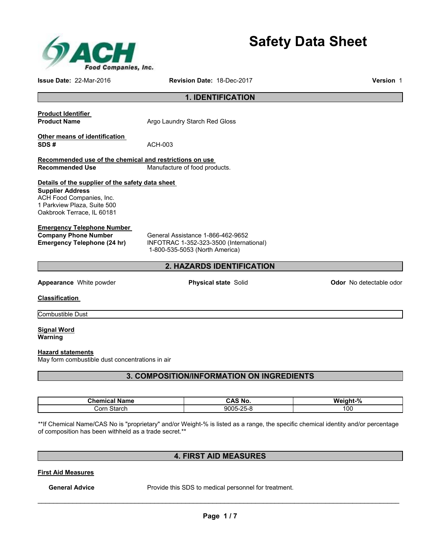

**Safety Data Sheet** 

**Issue Date:** 22-Mar-2016 **Revision Date:** 18-Dec-2017 **Version** 1

## **1. IDENTIFICATION**

# **Product Identifier Product Name Argo Laundry Starch Red Gloss Other means of identification SDS #** ACH-003 **Recommended use of the chemical and restrictions on use Recommended Use Manufacture of food products. Details of the supplier of the safety data sheet**

**Supplier Address**  ACH Food Companies, Inc. 1 Parkview Plaza, Suite 500 Oakbrook Terrace, IL 60181

#### **Emergency Telephone Number**

**Company Phone Number General Assistance 1-866-462-9652**<br> **Emergency Telephone (24 hr)** INFOTRAC 1-352-323-3500 (Interna **Emergency Telephone (24 hr)** INFOTRAC 1-352-323-3500 (International) 1-800-535-5053 (North America)

## **2. HAZARDS IDENTIFICATION**

**Appearance** White powder **Physical state** Solid **Physical state Colid Odor No detectable odor** 

**Classification** 

Combustible Dust

**Signal Word Warning** 

#### **Hazard statements**

May form combustible dust concentrations in air

## **3. COMPOSITION/INFORMATION ON INGREDIENTS**

| Chemical<br>Name | <b>AS No.</b>                    | $\Omega$<br>Weight-<br>70 |
|------------------|----------------------------------|---------------------------|
| orrـ<br>Starch   | วดดร-2.<br>ດ⊏<br>-<br>־יר<br>. w | 100                       |

\*\*If Chemical Name/CAS No is "proprietary" and/or Weight-% is listed as a range, the specific chemical identity and/or percentage of composition has been withheld as a trade secret.\*\*

## **4. FIRST AID MEASURES**

**First Aid Measures**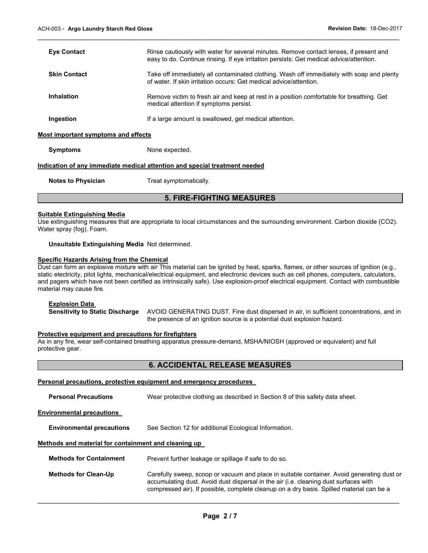| <b>Eye Contact</b>                  | Rinse cautiously with water for several minutes. Remove contact lenses, if present and<br>easy to do. Continue rinsing. If eye irritation persists: Get medical advice/attention. |
|-------------------------------------|-----------------------------------------------------------------------------------------------------------------------------------------------------------------------------------|
| <b>Skin Contact</b>                 | Take off immediately all contaminated clothing. Wash off immediately with soap and plenty<br>of water. If skin irritation occurs: Get medical advice/attention.                   |
| Inhalation                          | Remove victim to fresh air and keep at rest in a position comfortable for breathing. Get<br>medical attention if symptoms persist.                                                |
| Ingestion                           | If a large amount is swallowed, get medical attention.                                                                                                                            |
| Most important symptoms and effects |                                                                                                                                                                                   |

 $\mathcal{L}_\mathcal{L} = \{ \mathcal{L}_\mathcal{L} = \{ \mathcal{L}_\mathcal{L} = \{ \mathcal{L}_\mathcal{L} = \{ \mathcal{L}_\mathcal{L} = \{ \mathcal{L}_\mathcal{L} = \{ \mathcal{L}_\mathcal{L} = \{ \mathcal{L}_\mathcal{L} = \{ \mathcal{L}_\mathcal{L} = \{ \mathcal{L}_\mathcal{L} = \{ \mathcal{L}_\mathcal{L} = \{ \mathcal{L}_\mathcal{L} = \{ \mathcal{L}_\mathcal{L} = \{ \mathcal{L}_\mathcal{L} = \{ \mathcal{L}_\mathcal{$ 

**Symptoms** None expected.

#### **Indication of any immediate medical attention and special treatment needed**

**Notes to Physician**  Treat symptomatically.

## **5. FIRE-FIGHTING MEASURES**

#### **Suitable Extinguishing Media**

Use extinguishing measures that are appropriate to local circumstances and the surrounding environment. Carbon dioxide (CO2). Water spray (fog). Foam.

#### **Unsuitable Extinguishing Media** Not determined.

#### **Specific Hazards Arising from the Chemical**

Dust can form an explosive mixture with air This material can be ignited by heat, sparks, flames, or other sources of ignition (e.g., static electricity, pilot lights, mechanical/electrical equipment, and electronic devices such as cell phones, computers, calculators, and pagers which have not been certified as intrinsically safe). Use explosion-proof electrical equipment. Contact with combustible material may cause fire.

#### **Explosion Data**

**Sensitivity to Static Discharge** AVOID GENERATING DUST. Fine dust dispersed in air, in sufficient concentrations, and in the presence of an ignition source is a potential dust explosion hazard.

## **Protective equipment and precautions for firefighters**

As in any fire, wear self-contained breathing apparatus pressure-demand, MSHA/NIOSH (approved or equivalent) and full protective gear.

## **6. ACCIDENTAL RELEASE MEASURES**

#### **Personal precautions, protective equipment and emergency procedures**

**Personal Precautions** Wear protective clothing as described in Section 8 of this safety data sheet.

#### **Environmental precautions**

**Environmental precautions** See Section 12 for additional Ecological Information.

#### **Methods and material for containment and cleaning up**

| <b>Methods for Containment</b> | Prevent further leakage or spillage if safe to do so.                                                                                                                                                                                                                          |
|--------------------------------|--------------------------------------------------------------------------------------------------------------------------------------------------------------------------------------------------------------------------------------------------------------------------------|
| <b>Methods for Clean-Up</b>    | Carefully sweep, scoop or vacuum and place in suitable container. Avoid generating dust or<br>accumulating dust. Avoid dust dispersal in the air (i.e. cleaning dust surfaces with<br>compressed air). If possible, complete cleanup on a dry basis. Spilled material can be a |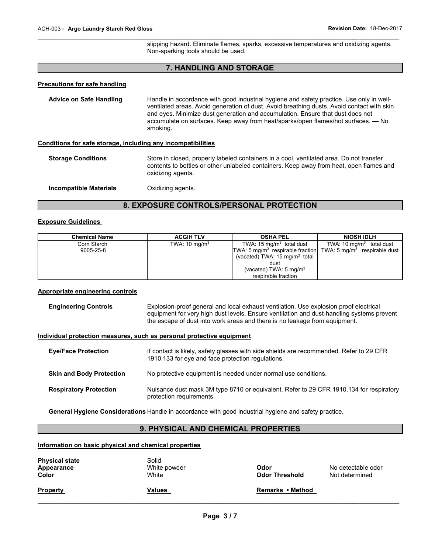slipping hazard. Eliminate flames, sparks, excessive temperatures and oxidizing agents. Non-sparking tools should be used.

## **7. HANDLING AND STORAGE**

 $\mathcal{L}_\mathcal{L} = \{ \mathcal{L}_\mathcal{L} = \{ \mathcal{L}_\mathcal{L} = \{ \mathcal{L}_\mathcal{L} = \{ \mathcal{L}_\mathcal{L} = \{ \mathcal{L}_\mathcal{L} = \{ \mathcal{L}_\mathcal{L} = \{ \mathcal{L}_\mathcal{L} = \{ \mathcal{L}_\mathcal{L} = \{ \mathcal{L}_\mathcal{L} = \{ \mathcal{L}_\mathcal{L} = \{ \mathcal{L}_\mathcal{L} = \{ \mathcal{L}_\mathcal{L} = \{ \mathcal{L}_\mathcal{L} = \{ \mathcal{L}_\mathcal{$ 

#### **Precautions for safe handling**

**Advice on Safe Handling** Handle in accordance with good industrial hygiene and safety practice. Use only in wellventilated areas. Avoid generation of dust. Avoid breathing dusts. Avoid contact with skin and eyes. Minimize dust generation and accumulation. Ensure that dust does not accumulate on surfaces. Keep away from heat/sparks/open flames/hot surfaces. — No smoking.

#### **Conditions for safe storage, including any incompatibilities**

| <b>Storage Conditions</b><br>Store in closed, properly labeled containers in a cool, ventilated area. Do not transfer<br>contents to bottles or other unlabeled containers. Keep away from heat, open flames and<br>oxidizing agents. |  |
|---------------------------------------------------------------------------------------------------------------------------------------------------------------------------------------------------------------------------------------|--|
|---------------------------------------------------------------------------------------------------------------------------------------------------------------------------------------------------------------------------------------|--|

**Incompatible Materials C**Xidizing agents.

## **8. EXPOSURE CONTROLS/PERSONAL PROTECTION**

#### **Exposure Guidelines**

| <b>Chemical Name</b> | <b>ACGIH TLV</b>         | <b>OSHA PEL</b>                                                                       | <b>NIOSH IDLH</b>          |
|----------------------|--------------------------|---------------------------------------------------------------------------------------|----------------------------|
| Corn Starch          | TWA: $10 \text{ mg/m}^3$ | TWA: $15 \text{ mg/m}^3$ total dust                                                   | TWA: 10 $mq/m3$ total dust |
| 9005-25-8            |                          | TWA: 5 mg/m <sup>3</sup> respirable fraction TWA: 5 mg/m <sup>3</sup> respirable dust |                            |
|                      |                          | (vacated) TWA: $15 \text{ mg/m}^3$ total                                              |                            |
|                      |                          | dust                                                                                  |                            |
|                      |                          | (vacated) TWA: $5 \text{ mg/m}^3$                                                     |                            |
|                      |                          | respirable fraction                                                                   |                            |

## **Appropriate engineering controls**

| <b>Engineering Controls</b> | Explosion-proof general and local exhaust ventilation. Use explosion proof electrical     |
|-----------------------------|-------------------------------------------------------------------------------------------|
|                             | equipment for very high dust levels. Ensure ventilation and dust-handling systems prevent |
|                             | the escape of dust into work areas and there is no leakage from equipment.                |

#### **Individual protection measures, such as personal protective equipment**

| <b>Eve/Face Protection</b>      | If contact is likely, safety glasses with side shields are recommended. Refer to 29 CFR<br>1910.133 for eye and face protection regulations. |
|---------------------------------|----------------------------------------------------------------------------------------------------------------------------------------------|
| <b>Skin and Body Protection</b> | No protective equipment is needed under normal use conditions.                                                                               |
| <b>Respiratory Protection</b>   | Nuisance dust mask 3M type 8710 or equivalent. Refer to 29 CFR 1910.134 for respiratory<br>protection requirements.                          |

**General Hygiene Considerations** Handle in accordance with good industrial hygiene and safety practice.

## **9. PHYSICAL AND CHEMICAL PROPERTIES**

## **Information on basic physical and chemical properties**

| <b>Physical state</b><br>Appearance<br>Color | Solid<br>White powder<br>White | Odor<br><b>Odor Threshold</b> | No detectable odor<br>Not determined |
|----------------------------------------------|--------------------------------|-------------------------------|--------------------------------------|
| <b>Property</b>                              | Values                         | Remarks • Method              |                                      |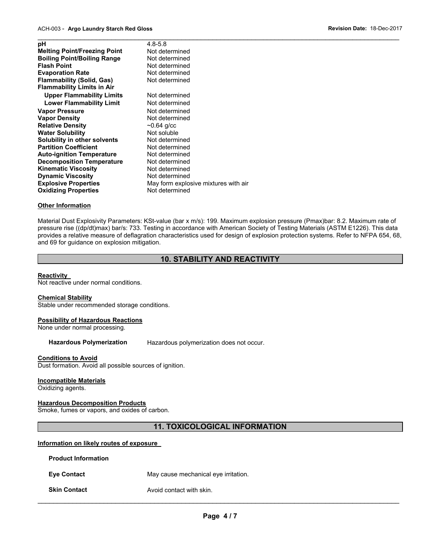| $4.8 - 5.8$                          |
|--------------------------------------|
| Not determined                       |
| Not determined                       |
| Not determined                       |
| Not determined                       |
| Not determined                       |
|                                      |
| Not determined                       |
| Not determined                       |
| Not determined                       |
| Not determined                       |
| $~10.64$ g/cc                        |
| Not soluble                          |
| Not determined                       |
| Not determined                       |
| Not determined                       |
| Not determined                       |
| Not determined                       |
| Not determined                       |
| May form explosive mixtures with air |
| Not determined                       |
|                                      |

#### **Other Information**

Material Dust Explosivity Parameters: KSt-value (bar x m/s): 199. Maximum explosion pressure (Pmax)bar: 8.2. Maximum rate of pressure rise ((dp/dt)max) bar/s: 733. Testing in accordance with American Society of Testing Materials (ASTM E1226). This data provides a relative measure of deflagration characteristics used for design of explosion protection systems. Refer to NFPA 654, 68, and 69 for guidance on explosion mitigation.

## **10. STABILITY AND REACTIVITY**

#### **Reactivity**

Not reactive under normal conditions.

#### **Chemical Stability**

Stable under recommended storage conditions.

#### **Possibility of Hazardous Reactions**

None under normal processing.

#### **Hazardous Polymerization** Hazardous polymerization does not occur.

#### **Conditions to Avoid**

Dust formation. Avoid all possible sources of ignition.

#### **Incompatible Materials**

Oxidizing agents.

## **Hazardous Decomposition Products**

Smoke, fumes or vapors, and oxides of carbon.

## **11. TOXICOLOGICAL INFORMATION**

#### **Information on likely routes of exposure**

**Product Information** 

**Eye Contact May cause mechanical eye irritation.** 

## **Skin Contact Avoid contact with skin.**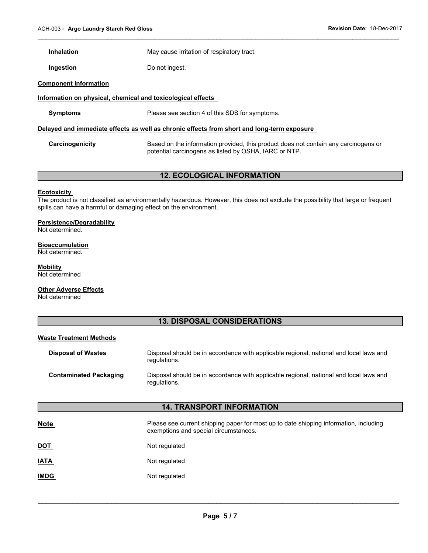**Inhalation May cause irritation of respiratory tract.** 

**Ingestion Do not ingest.** 

#### **Component Information**

#### **Information on physical, chemical and toxicological effects**

**Symptoms** Please see section 4 of this SDS for symptoms.

regulations.

#### **Delayed and immediate effects as well as chronic effects from short and long-term exposure**

**Carcinogenicity** Based on the information provided, this product does not contain any carcinogens or potential carcinogens as listed by OSHA, IARC or NTP.

 $\mathcal{L}_\mathcal{L} = \{ \mathcal{L}_\mathcal{L} = \{ \mathcal{L}_\mathcal{L} = \{ \mathcal{L}_\mathcal{L} = \{ \mathcal{L}_\mathcal{L} = \{ \mathcal{L}_\mathcal{L} = \{ \mathcal{L}_\mathcal{L} = \{ \mathcal{L}_\mathcal{L} = \{ \mathcal{L}_\mathcal{L} = \{ \mathcal{L}_\mathcal{L} = \{ \mathcal{L}_\mathcal{L} = \{ \mathcal{L}_\mathcal{L} = \{ \mathcal{L}_\mathcal{L} = \{ \mathcal{L}_\mathcal{L} = \{ \mathcal{L}_\mathcal{$ 

## **12. ECOLOGICAL INFORMATION**

#### **Ecotoxicity**

The product is not classified as environmentally hazardous. However, this does not exclude the possibility that large or frequent spills can have a harmful or damaging effect on the environment.

#### **Persistence/Degradability**

Not determined.

#### **Bioaccumulation**

Not determined.

**Mobility**  Not determined

#### **Other Adverse Effects**

Not determined

## **13. DISPOSAL CONSIDERATIONS**

#### **Waste Treatment Methods**

| <b>Disposal of Wastes</b>     | Disposal should be in accordance with applicable regional, national and local laws and<br>regulations. |
|-------------------------------|--------------------------------------------------------------------------------------------------------|
| <b>Contaminated Packaging</b> | Disposal should be in accordance with applicable regional, national and local laws and                 |

## **14. TRANSPORT INFORMATION**

| <b>Note</b> | Please see current shipping paper for most up to date shipping information, including<br>exemptions and special circumstances. |
|-------------|--------------------------------------------------------------------------------------------------------------------------------|
| <u>DOT</u>  | Not regulated                                                                                                                  |
| <u>IATA</u> | Not regulated                                                                                                                  |
| <b>IMDG</b> | Not regulated                                                                                                                  |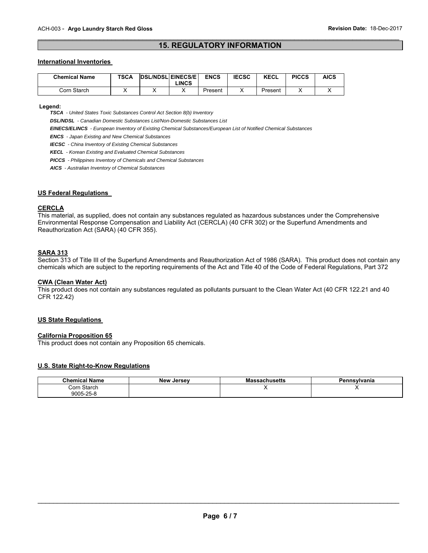## $\mathcal{L}_\mathcal{L} = \{ \mathcal{L}_\mathcal{L} = \{ \mathcal{L}_\mathcal{L} = \{ \mathcal{L}_\mathcal{L} = \{ \mathcal{L}_\mathcal{L} = \{ \mathcal{L}_\mathcal{L} = \{ \mathcal{L}_\mathcal{L} = \{ \mathcal{L}_\mathcal{L} = \{ \mathcal{L}_\mathcal{L} = \{ \mathcal{L}_\mathcal{L} = \{ \mathcal{L}_\mathcal{L} = \{ \mathcal{L}_\mathcal{L} = \{ \mathcal{L}_\mathcal{L} = \{ \mathcal{L}_\mathcal{L} = \{ \mathcal{L}_\mathcal{$ **15. REGULATORY INFORMATION**

#### **International Inventories**

| <b>Chemical Name</b> | <b>TSCA</b> | <b>DSL/NDSLIEINECS/EI</b><br><b>_INCS</b> | <b>ENCS</b> | <b>IECSC</b> | <b>KECL</b> | <b>PICCS</b> | AICS |
|----------------------|-------------|-------------------------------------------|-------------|--------------|-------------|--------------|------|
| Corn Starch          |             |                                           | Present     |              | Present     |              |      |

 **Legend:** 

 *TSCA - United States Toxic Substances Control Act Section 8(b) Inventory* 

 *DSL/NDSL - Canadian Domestic Substances List/Non-Domestic Substances List* 

 *EINECS/ELINCS - European Inventory of Existing Chemical Substances/European List of Notified Chemical Substances* 

 *ENCS - Japan Existing and New Chemical Substances* 

 *IECSC - China Inventory of Existing Chemical Substances* 

 *KECL - Korean Existing and Evaluated Chemical Substances* 

 *PICCS - Philippines Inventory of Chemicals and Chemical Substances* 

 *AICS - Australian Inventory of Chemical Substances* 

#### **US Federal Regulations**

#### **CERCLA**

This material, as supplied, does not contain any substances regulated as hazardous substances under the Comprehensive Environmental Response Compensation and Liability Act (CERCLA) (40 CFR 302) or the Superfund Amendments and Reauthorization Act (SARA) (40 CFR 355).

#### **SARA 313**

Section 313 of Title III of the Superfund Amendments and Reauthorization Act of 1986 (SARA). This product does not contain any chemicals which are subject to the reporting requirements of the Act and Title 40 of the Code of Federal Regulations, Part 372

#### **CWA (Clean Water Act)**

This product does not contain any substances regulated as pollutants pursuant to the Clean Water Act (40 CFR 122.21 and 40 CFR 122.42)

#### **US State Regulations**

## **California Proposition 65**

This product does not contain any Proposition 65 chemicals.

#### **U.S. State Right-to-Know Regulations**

| <b>Chemical Name</b> | <b>New Jersey</b> | <b>Massachusetts</b> | Pennsvlvania |
|----------------------|-------------------|----------------------|--------------|
| Corn Starch          |                   |                      |              |
| 9005-25-8            |                   |                      |              |